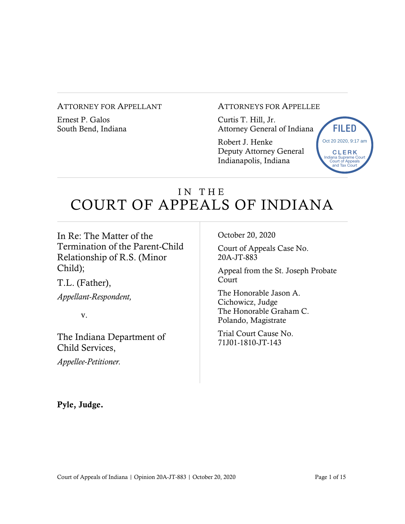#### ATTORNEY FOR APPELLANT

Ernest P. Galos South Bend, Indiana ATTORNEYS FOR APPELLEE

Curtis T. Hill, Jr. Attorney General of Indiana

Robert J. Henke Deputy Attorney General Indianapolis, Indiana



# IN THE COURT OF APPEALS OF INDIANA

In Re: The Matter of the Termination of the Parent-Child Relationship of R.S. (Minor Child);

T.L. (Father),

*Appellant-Respondent,*

v.

The Indiana Department of Child Services,

*Appellee-Petitioner.* 

October 20, 2020

Court of Appeals Case No. 20A-JT-883

Appeal from the St. Joseph Probate Court

The Honorable Jason A. Cichowicz, Judge The Honorable Graham C. Polando, Magistrate

Trial Court Cause No. 71J01-1810-JT-143

Pyle, Judge.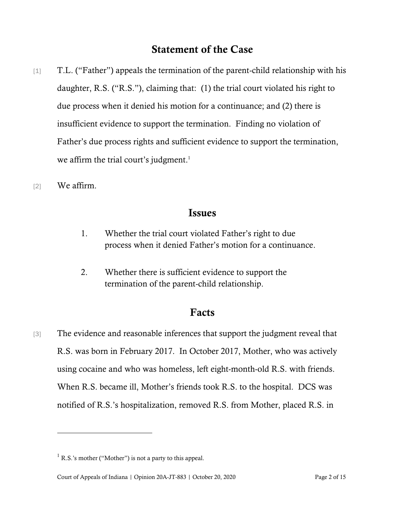# Statement of the Case

[1] T.L. ("Father") appeals the termination of the parent-child relationship with his daughter, R.S. ("R.S."), claiming that: (1) the trial court violated his right to due process when it denied his motion for a continuance; and (2) there is insufficient evidence to support the termination. Finding no violation of Father's due process rights and sufficient evidence to support the termination, we affirm the trial court's judgment.<sup>1</sup>

[2] We affirm.

## Issues

- 1. Whether the trial court violated Father's right to due process when it denied Father's motion for a continuance.
- 2. Whether there is sufficient evidence to support the termination of the parent-child relationship.

## Facts

[3] The evidence and reasonable inferences that support the judgment reveal that R.S. was born in February 2017. In October 2017, Mother, who was actively using cocaine and who was homeless, left eight-month-old R.S. with friends. When R.S. became ill, Mother's friends took R.S. to the hospital. DCS was notified of R.S.'s hospitalization, removed R.S. from Mother, placed R.S. in

 $<sup>1</sup>$  R.S.'s mother ("Mother") is not a party to this appeal.</sup>

Court of Appeals of Indiana | Opinion 20A-JT-883 | October 20, 2020 Page 2 of 15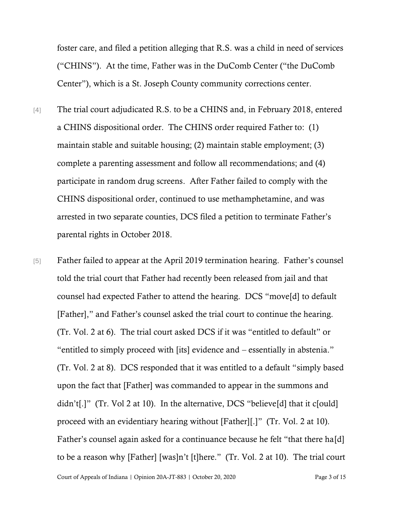foster care, and filed a petition alleging that R.S. was a child in need of services ("CHINS"). At the time, Father was in the DuComb Center ("the DuComb Center"), which is a St. Joseph County community corrections center.

- [4] The trial court adjudicated R.S. to be a CHINS and, in February 2018, entered a CHINS dispositional order. The CHINS order required Father to: (1) maintain stable and suitable housing; (2) maintain stable employment; (3) complete a parenting assessment and follow all recommendations; and (4) participate in random drug screens. After Father failed to comply with the CHINS dispositional order, continued to use methamphetamine, and was arrested in two separate counties, DCS filed a petition to terminate Father's parental rights in October 2018.
- [5] Father failed to appear at the April 2019 termination hearing. Father's counsel told the trial court that Father had recently been released from jail and that counsel had expected Father to attend the hearing. DCS "move[d] to default [Father]," and Father's counsel asked the trial court to continue the hearing. (Tr. Vol. 2 at 6). The trial court asked DCS if it was "entitled to default" or "entitled to simply proceed with [its] evidence and – essentially in abstenia." (Tr. Vol. 2 at 8). DCS responded that it was entitled to a default "simply based upon the fact that [Father] was commanded to appear in the summons and didn't[.]" (Tr. Vol 2 at 10). In the alternative, DCS "believe[d] that it c[ould] proceed with an evidentiary hearing without [Father][.]" (Tr. Vol. 2 at 10). Father's counsel again asked for a continuance because he felt "that there ha[d] to be a reason why [Father] [was]n't [t]here." (Tr. Vol. 2 at 10). The trial court

Court of Appeals of Indiana | Opinion 20A-JT-883 | October 20, 2020 Page 3 of 15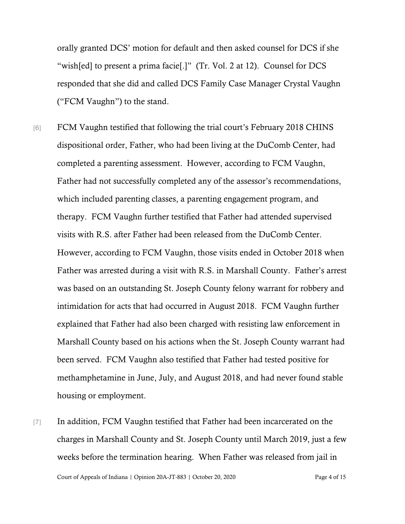orally granted DCS' motion for default and then asked counsel for DCS if she "wish[ed] to present a prima facie[.]" (Tr. Vol. 2 at 12). Counsel for DCS responded that she did and called DCS Family Case Manager Crystal Vaughn ("FCM Vaughn") to the stand.

- [6] FCM Vaughn testified that following the trial court's February 2018 CHINS dispositional order, Father, who had been living at the DuComb Center, had completed a parenting assessment. However, according to FCM Vaughn, Father had not successfully completed any of the assessor's recommendations, which included parenting classes, a parenting engagement program, and therapy. FCM Vaughn further testified that Father had attended supervised visits with R.S. after Father had been released from the DuComb Center. However, according to FCM Vaughn, those visits ended in October 2018 when Father was arrested during a visit with R.S. in Marshall County. Father's arrest was based on an outstanding St. Joseph County felony warrant for robbery and intimidation for acts that had occurred in August 2018. FCM Vaughn further explained that Father had also been charged with resisting law enforcement in Marshall County based on his actions when the St. Joseph County warrant had been served. FCM Vaughn also testified that Father had tested positive for methamphetamine in June, July, and August 2018, and had never found stable housing or employment.
- Court of Appeals of Indiana | Opinion 20A-JT-883 | October 20, 2020 Page 4 of 15 [7] In addition, FCM Vaughn testified that Father had been incarcerated on the charges in Marshall County and St. Joseph County until March 2019, just a few weeks before the termination hearing. When Father was released from jail in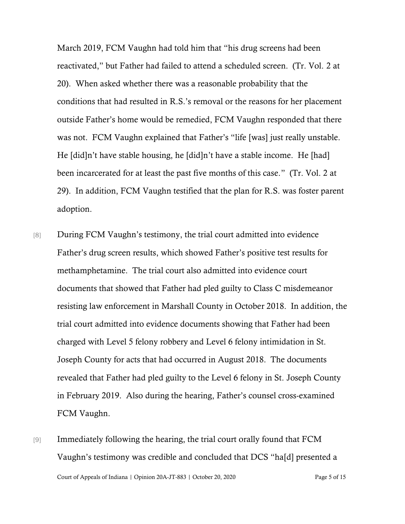March 2019, FCM Vaughn had told him that "his drug screens had been reactivated," but Father had failed to attend a scheduled screen. (Tr. Vol. 2 at 20). When asked whether there was a reasonable probability that the conditions that had resulted in R.S.'s removal or the reasons for her placement outside Father's home would be remedied, FCM Vaughn responded that there was not. FCM Vaughn explained that Father's "life [was] just really unstable. He [did]n't have stable housing, he [did]n't have a stable income. He [had] been incarcerated for at least the past five months of this case." (Tr. Vol. 2 at 29). In addition, FCM Vaughn testified that the plan for R.S. was foster parent adoption.

- [8] During FCM Vaughn's testimony, the trial court admitted into evidence Father's drug screen results, which showed Father's positive test results for methamphetamine. The trial court also admitted into evidence court documents that showed that Father had pled guilty to Class C misdemeanor resisting law enforcement in Marshall County in October 2018. In addition, the trial court admitted into evidence documents showing that Father had been charged with Level 5 felony robbery and Level 6 felony intimidation in St. Joseph County for acts that had occurred in August 2018. The documents revealed that Father had pled guilty to the Level 6 felony in St. Joseph County in February 2019. Also during the hearing, Father's counsel cross-examined FCM Vaughn.
- Court of Appeals of Indiana | Opinion 20A-JT-883 | October 20, 2020 Page 5 of 15 [9] Immediately following the hearing, the trial court orally found that FCM Vaughn's testimony was credible and concluded that DCS "ha[d] presented a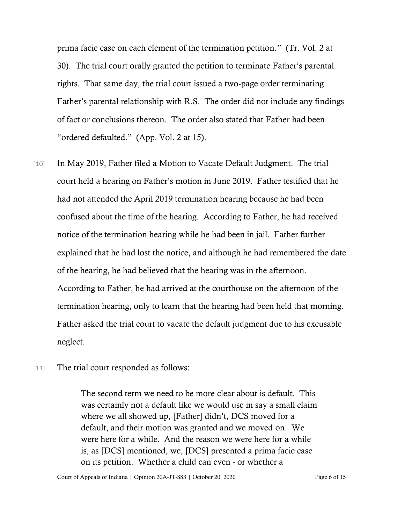prima facie case on each element of the termination petition." (Tr. Vol. 2 at 30). The trial court orally granted the petition to terminate Father's parental rights. That same day, the trial court issued a two-page order terminating Father's parental relationship with R.S. The order did not include any findings of fact or conclusions thereon. The order also stated that Father had been "ordered defaulted." (App. Vol. 2 at 15).

- [10] In May 2019, Father filed a Motion to Vacate Default Judgment. The trial court held a hearing on Father's motion in June 2019. Father testified that he had not attended the April 2019 termination hearing because he had been confused about the time of the hearing. According to Father, he had received notice of the termination hearing while he had been in jail. Father further explained that he had lost the notice, and although he had remembered the date of the hearing, he had believed that the hearing was in the afternoon. According to Father, he had arrived at the courthouse on the afternoon of the termination hearing, only to learn that the hearing had been held that morning. Father asked the trial court to vacate the default judgment due to his excusable neglect.
- [11] The trial court responded as follows:

The second term we need to be more clear about is default. This was certainly not a default like we would use in say a small claim where we all showed up, [Father] didn't, DCS moved for a default, and their motion was granted and we moved on. We were here for a while. And the reason we were here for a while is, as [DCS] mentioned, we, [DCS] presented a prima facie case on its petition. Whether a child can even - or whether a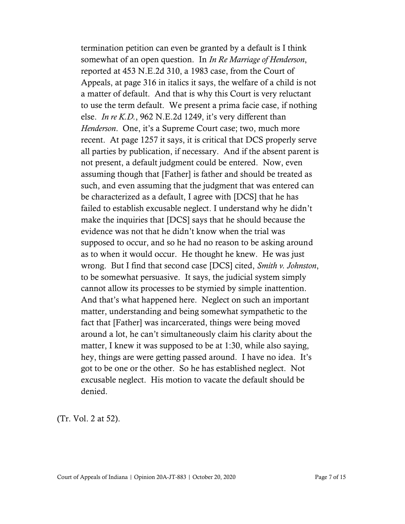termination petition can even be granted by a default is I think somewhat of an open question. In *In Re Marriage of Henderson*, reported at 453 N.E.2d 310, a 1983 case, from the Court of Appeals, at page 316 in italics it says, the welfare of a child is not a matter of default. And that is why this Court is very reluctant to use the term default. We present a prima facie case, if nothing else. *In re K.D.*, 962 N.E.2d 1249, it's very different than *Henderson*. One, it's a Supreme Court case; two, much more recent. At page 1257 it says, it is critical that DCS properly serve all parties by publication, if necessary. And if the absent parent is not present, a default judgment could be entered. Now, even assuming though that [Father] is father and should be treated as such, and even assuming that the judgment that was entered can be characterized as a default, I agree with [DCS] that he has failed to establish excusable neglect. I understand why he didn't make the inquiries that [DCS] says that he should because the evidence was not that he didn't know when the trial was supposed to occur, and so he had no reason to be asking around as to when it would occur. He thought he knew. He was just wrong. But I find that second case [DCS] cited, *Smith v. Johnston*, to be somewhat persuasive. It says, the judicial system simply cannot allow its processes to be stymied by simple inattention. And that's what happened here. Neglect on such an important matter, understanding and being somewhat sympathetic to the fact that [Father] was incarcerated, things were being moved around a lot, he can't simultaneously claim his clarity about the matter, I knew it was supposed to be at 1:30, while also saying, hey, things are were getting passed around. I have no idea. It's got to be one or the other. So he has established neglect. Not excusable neglect. His motion to vacate the default should be denied.

(Tr. Vol. 2 at 52).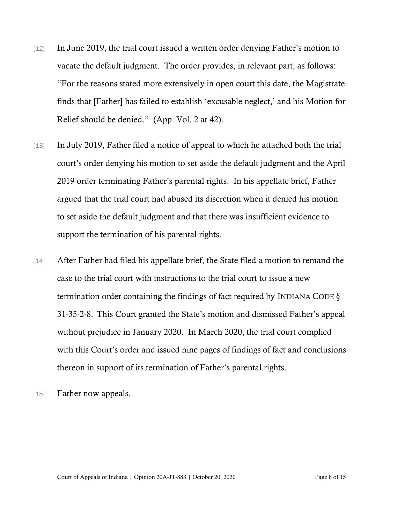- [12] In June 2019, the trial court issued a written order denying Father's motion to vacate the default judgment. The order provides, in relevant part, as follows: "For the reasons stated more extensively in open court this date, the Magistrate finds that [Father] has failed to establish 'excusable neglect,' and his Motion for Relief should be denied." (App. Vol. 2 at 42).
- [13] In July 2019, Father filed a notice of appeal to which he attached both the trial court's order denying his motion to set aside the default judgment and the April 2019 order terminating Father's parental rights. In his appellate brief, Father argued that the trial court had abused its discretion when it denied his motion to set aside the default judgment and that there was insufficient evidence to support the termination of his parental rights.
- [14] After Father had filed his appellate brief, the State filed a motion to remand the case to the trial court with instructions to the trial court to issue a new termination order containing the findings of fact required by I[NDIANA](https://a.next.westlaw.com/Link/Document/FullText?findType=L&pubNum=1000009&cite=INS31-35-2-4&originatingDoc=Ic7955a1393d111e590d4edf60ce7d742&refType=SP&originationContext=document&transitionType=DocumentItem&contextData=(sc.UserEnteredCitation)#co_pp_c0ae00006c482) CODE  $\S$ [31-35-2-8.](https://a.next.westlaw.com/Link/Document/FullText?findType=L&pubNum=1000009&cite=INS31-35-2-4&originatingDoc=Ic7955a1393d111e590d4edf60ce7d742&refType=SP&originationContext=document&transitionType=DocumentItem&contextData=(sc.UserEnteredCitation)#co_pp_c0ae00006c482) This Court granted the State's motion and dismissed Father's appeal without prejudice in January 2020. In March 2020, the trial court complied with this Court's order and issued nine pages of findings of fact and conclusions thereon in support of its termination of Father's parental rights.
- [15] Father now appeals.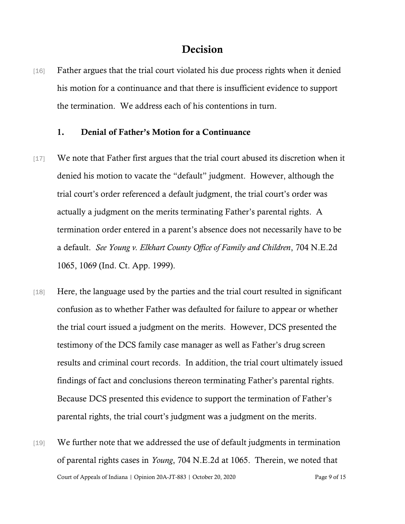## Decision

[16] Father argues that the trial court violated his due process rights when it denied his motion for a continuance and that there is insufficient evidence to support the termination. We address each of his contentions in turn.

### 1. Denial of Father's Motion for a Continuance

- [17] We note that Father first argues that the trial court abused its discretion when it denied his motion to vacate the "default" judgment. However, although the trial court's order referenced a default judgment, the trial court's order was actually a judgment on the merits terminating Father's parental rights. A termination order entered in a parent's absence does not necessarily have to be a default. *See Young v. Elkhart County Office of Family and Children*, 704 N.E.2d 1065, 1069 (Ind. Ct. App. 1999).
- [18] Here, the language used by the parties and the trial court resulted in significant confusion as to whether Father was defaulted for failure to appear or whether the trial court issued a judgment on the merits. However, DCS presented the testimony of the DCS family case manager as well as Father's drug screen results and criminal court records. In addition, the trial court ultimately issued findings of fact and conclusions thereon terminating Father's parental rights. Because DCS presented this evidence to support the termination of Father's parental rights, the trial court's judgment was a judgment on the merits.
- Court of Appeals of Indiana | Opinion 20A-JT-883 | October 20, 2020 Page 9 of 15 [19] We further note that we addressed the use of default judgments in termination of parental rights cases in *Young*, 704 N.E.2d at 1065. Therein, we noted that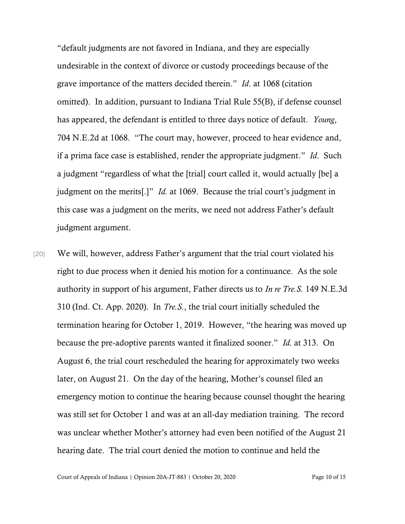"default judgments are not favored in Indiana, and they are especially undesirable in the context of divorce or custody proceedings because of the grave importance of the matters decided therein." *Id*. at 1068 (citation omitted). In addition, pursuant to Indiana Trial Rule 55(B), if defense counsel has appeared, the defendant is entitled to three days notice of default. *Young*, 704 N.E.2d at 1068. "The court may, however, proceed to hear evidence and, if a prima face case is established, render the appropriate judgment." *Id*. Such a judgment "regardless of what the [trial] court called it, would actually [be] a judgment on the merits[.]" *Id.* at 1069. Because the trial court's judgment in this case was a judgment on the merits, we need not address Father's default judgment argument.

[20] We will, however, address Father's argument that the trial court violated his right to due process when it denied his motion for a continuance. As the sole authority in support of his argument, Father directs us to *In re Tre.S.* 149 N.E.3d 310 (Ind. Ct. App. 2020). In *Tre.S.*, the trial court initially scheduled the termination hearing for October 1, 2019. However, "the hearing was moved up because the pre-adoptive parents wanted it finalized sooner." *Id.* at 313. On August 6, the trial court rescheduled the hearing for approximately two weeks later, on August 21. On the day of the hearing, Mother's counsel filed an emergency motion to continue the hearing because counsel thought the hearing was still set for October 1 and was at an all-day mediation training. The record was unclear whether Mother's attorney had even been notified of the August 21 hearing date. The trial court denied the motion to continue and held the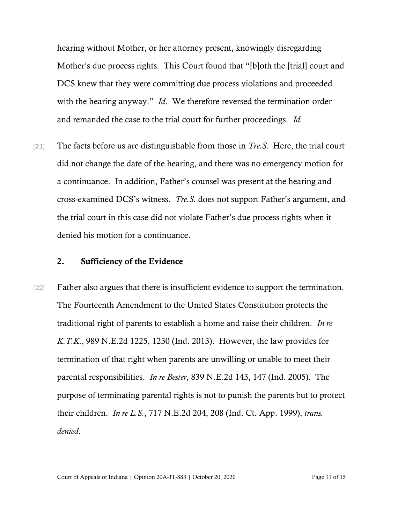hearing without Mother, or her attorney present, knowingly disregarding Mother's due process rights. This Court found that "[b]oth the [trial] court and DCS knew that they were committing due process violations and proceeded with the hearing anyway." *Id*. We therefore reversed the termination order and remanded the case to the trial court for further proceedings. *Id.*

[21] The facts before us are distinguishable from those in *Tre.S.* Here, the trial court did not change the date of the hearing, and there was no emergency motion for a continuance. In addition, Father's counsel was present at the hearing and cross-examined DCS's witness. *Tre.S.* does not support Father's argument, and the trial court in this case did not violate Father's due process rights when it denied his motion for a continuance.

#### 2. Sufficiency of the Evidence

[22] Father also argues that there is insufficient evidence to support the termination. The Fourteenth Amendment to the United States Constitution protects the traditional right of parents to establish a home and raise their children. *In re K.T.K.*, 989 N.E.2d 1225, 1230 (Ind. 2013). However, the law provides for termination of that right when parents are unwilling or unable to meet their parental responsibilities. *In re Bester*, 839 N.E.2d 143, 147 (Ind. 2005). The purpose of terminating parental rights is not to punish the parents but to protect their children. *In re L.S.*, 717 N.E.2d 204, 208 (Ind. Ct. App. 1999), *trans. denied*.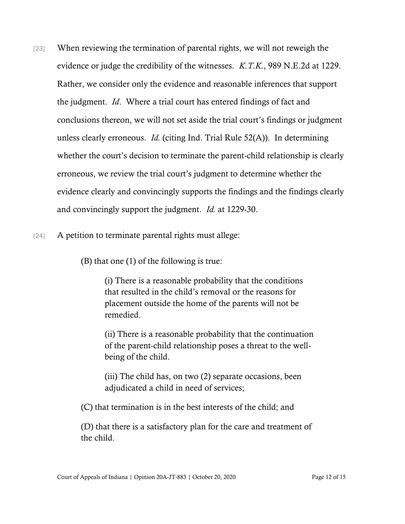- [23] When reviewing the termination of parental rights, we will not reweigh the evidence or judge the credibility of the witnesses. *K.T.K.*, 989 N.E.2d at 1229. Rather, we consider only the evidence and reasonable inferences that support the judgment. *Id*. Where a trial court has entered findings of fact and conclusions thereon, we will not set aside the trial court's findings or judgment unless clearly erroneous. *Id.* (citing Ind. Trial Rule 52(A)). In determining whether the court's decision to terminate the parent-child relationship is clearly erroneous, we review the trial court's judgment to determine whether the evidence clearly and convincingly supports the findings and the findings clearly and convincingly support the judgment. *Id.* at 1229-30.
- [24] A petition to terminate parental rights must allege:

(B) that one (1) of the following is true:

(i) There is a reasonable probability that the conditions that resulted in the child's removal or the reasons for placement outside the home of the parents will not be remedied.

(ii) There is a reasonable probability that the continuation of the parent-child relationship poses a threat to the wellbeing of the child.

(iii) The child has, on two (2) separate occasions, been adjudicated a child in need of services;

(C) that termination is in the best interests of the child; and

(D) that there is a satisfactory plan for the care and treatment of the child.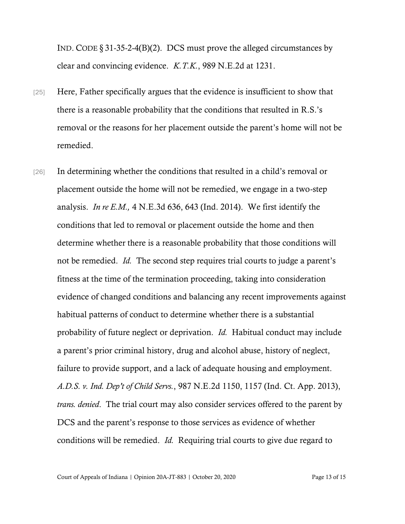IND. CODE § [31-35-2-4\(B\)\(2\).](https://a.next.westlaw.com/Link/Document/FullText?findType=L&pubNum=1000009&cite=INS31-35-2-4&originatingDoc=Ic7955a1393d111e590d4edf60ce7d742&refType=SP&originationContext=document&transitionType=DocumentItem&contextData=(sc.UserEnteredCitation)#co_pp_c0ae00006c482) DCS must prove the alleged circumstances by clear and convincing evidence. *[K.T.K.](https://a.next.westlaw.com/Link/Document/FullText?findType=Y&serNum=2030676688&pubNum=0000578&originatingDoc=Ic7955a1393d111e590d4edf60ce7d742&refType=RP&fi=co_pp_sp_578_1231&originationContext=document&transitionType=DocumentItem&contextData=(sc.UserEnteredCitation)#co_pp_sp_578_1231)*, [989 N.E.2d at 1231.](https://a.next.westlaw.com/Link/Document/FullText?findType=Y&serNum=2030676688&pubNum=0000578&originatingDoc=Ic7955a1393d111e590d4edf60ce7d742&refType=RP&fi=co_pp_sp_578_1231&originationContext=document&transitionType=DocumentItem&contextData=(sc.UserEnteredCitation)#co_pp_sp_578_1231)

- [25] Here, Father specifically argues that the evidence is insufficient to show that there is a reasonable probability that the conditions that resulted in R.S.'s removal or the reasons for her placement outside the parent's home will not be remedied.
- [26] In determining whether the conditions that resulted in a child's removal or placement outside the home will not be remedied, we engage in a two-step analysis. *[In re E.M.,](https://a.next.westlaw.com/Link/Document/FullText?findType=Y&serNum=2032857195&pubNum=0007902&originatingDoc=Ic7955a1393d111e590d4edf60ce7d742&refType=RP&fi=co_pp_sp_7902_643&originationContext=document&transitionType=DocumentItem&contextData=(sc.UserEnteredCitation)#co_pp_sp_7902_643)* [4 N.E.3d 636, 643 \(Ind. 2014\).](https://a.next.westlaw.com/Link/Document/FullText?findType=Y&serNum=2032857195&pubNum=0007902&originatingDoc=Ic7955a1393d111e590d4edf60ce7d742&refType=RP&fi=co_pp_sp_7902_643&originationContext=document&transitionType=DocumentItem&contextData=(sc.UserEnteredCitation)#co_pp_sp_7902_643) We first identify the conditions that led to removal or placement outside the home and then determine whether there is a reasonable probability that those conditions will not be remedied. *Id.* The second step requires trial courts to judge a parent's fitness at the time of the termination proceeding, taking into consideration evidence of changed conditions and balancing any recent improvements against habitual patterns of conduct to determine whether there is a substantial probability of future neglect or deprivation. *Id.* Habitual conduct may include a parent's prior criminal history, drug and alcohol abuse, history of neglect, failure to provide support, and a lack of adequate housing and employment. *A.D.S. v. Ind. Dep't of Child Servs.*, 987 N.E.2d 1150, 1157 (Ind. Ct. App. 2013), *trans. denied*. The trial court may also consider services offered to the parent by DCS and the parent's response to those services as evidence of whether conditions will be remedied. *Id.* Requiring trial courts to give due regard to

Court of Appeals of Indiana | Opinion 20A-JT-883 | October 20, 2020 Page 13 of 15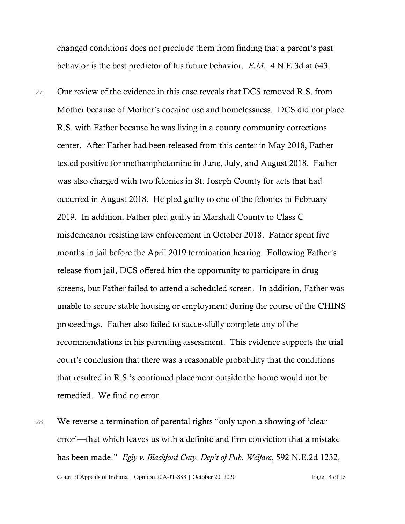changed conditions does not preclude them from finding that a parent's past behavior is the best predictor of his future behavior. *E.M.*, 4 N.E.3d at 643.

[27] Our review of the evidence in this case reveals that DCS removed R.S. from Mother because of Mother's cocaine use and homelessness. DCS did not place R.S. with Father because he was living in a county community corrections center. After Father had been released from this center in May 2018, Father tested positive for methamphetamine in June, July, and August 2018. Father was also charged with two felonies in St. Joseph County for acts that had occurred in August 2018. He pled guilty to one of the felonies in February 2019. In addition, Father pled guilty in Marshall County to Class C misdemeanor resisting law enforcement in October 2018. Father spent five months in jail before the April 2019 termination hearing. Following Father's release from jail, DCS offered him the opportunity to participate in drug screens, but Father failed to attend a scheduled screen. In addition, Father was unable to secure stable housing or employment during the course of the CHINS proceedings. Father also failed to successfully complete any of the recommendations in his parenting assessment. This evidence supports the trial court's conclusion that there was a reasonable probability that the conditions that resulted in R.S.'s continued placement outside the home would not be remedied. We find no error.

Court of Appeals of Indiana | Opinion 20A-JT-883 | October 20, 2020 Page 14 of 15 [28] We reverse a termination of parental rights "only upon a showing of 'clear error'—that which leaves us with a definite and firm conviction that a mistake has been made." *[Egly v. Blackford Cnty. Dep](https://1.next.westlaw.com/Link/Document/FullText?findType=Y&serNum=1992102142&pubNum=578&originatingDoc=I0c544f1f5d0f11e18b1ac573b20fcfb7&refType=RP&fi=co_pp_sp_578_1235&originationContext=document&transitionType=DocumentItem&contextData=(sc.Search)#co_pp_sp_578_1235)'t of Pub. Welfare*[, 592 N.E.2d 1232,](https://1.next.westlaw.com/Link/Document/FullText?findType=Y&serNum=1992102142&pubNum=578&originatingDoc=I0c544f1f5d0f11e18b1ac573b20fcfb7&refType=RP&fi=co_pp_sp_578_1235&originationContext=document&transitionType=DocumentItem&contextData=(sc.Search)#co_pp_sp_578_1235)